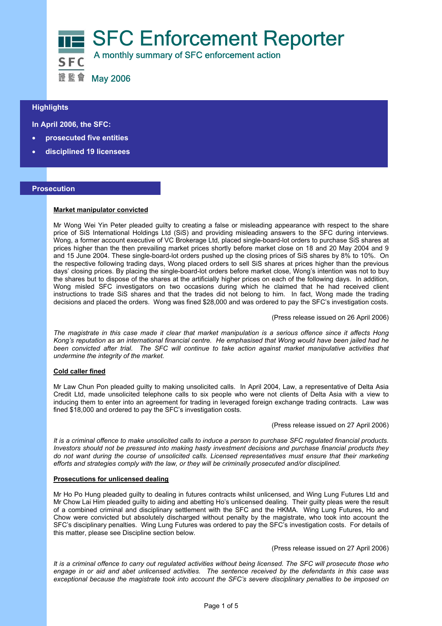

# $\overline{a}$ **Highlights**

 **In April 2006, the SFC:** 

- **prosecuted five entities**
- **disciplined 19 licensees**

### **Prosecution**

### **Market manipulator convicted**

Mr Wong Wei Yin Peter pleaded guilty to creating a false or misleading appearance with respect to the share price of SiS International Holdings Ltd (SiS) and providing misleading answers to the SFC during interviews. Wong, a former account executive of VC Brokerage Ltd, placed single-board-lot orders to purchase SiS shares at prices higher than the then prevailing market prices shortly before market close on 18 and 20 May 2004 and 9 and 15 June 2004. These single-board-lot orders pushed up the closing prices of SiS shares by 8% to 10%. On the respective following trading days, Wong placed orders to sell SiS shares at prices higher than the previous days' closing prices. By placing the single-board-lot orders before market close, Wong's intention was not to buy the shares but to dispose of the shares at the artificially higher prices on each of the following days. In addition, Wong misled SFC investigators on two occasions during which he claimed that he had received client instructions to trade SiS shares and that the trades did not belong to him. In fact, Wong made the trading decisions and placed the orders. Wong was fined \$28,000 and was ordered to pay the SFC's investigation costs.

(Press release issued on 26 April 2006)

*The magistrate in this case made it clear that market manipulation is a serious offence since it affects Hong Kong's reputation as an international financial centre. He emphasised that Wong would have been jailed had he*  been convicted after trial. The SFC will continue to take action against market manipulative activities that *undermine the integrity of the market.* 

#### **Cold caller fined**

Mr Law Chun Pon pleaded guilty to making unsolicited calls. In April 2004, Law, a representative of Delta Asia Credit Ltd, made unsolicited telephone calls to six people who were not clients of Delta Asia with a view to inducing them to enter into an agreement for trading in leveraged foreign exchange trading contracts. Law was fined \$18,000 and ordered to pay the SFC's investigation costs.

(Press release issued on 27 April 2006)

*It is a criminal offence to make unsolicited calls to induce a person to purchase SFC regulated financial products. Investors should not be pressured into making hasty investment decisions and purchase financial products they do not want during the course of unsolicited calls. Licensed representatives must ensure that their marketing efforts and strategies comply with the law, or they will be criminally prosecuted and/or disciplined.* 

#### **Prosecutions for unlicensed dealing**

Mr Ho Po Hung pleaded guilty to dealing in futures contracts whilst unlicensed, and Wing Lung Futures Ltd and Mr Chow Lai Him pleaded guilty to aiding and abetting Ho's unlicensed dealing. Their guilty pleas were the result of a combined criminal and disciplinary settlement with the SFC and the HKMA. Wing Lung Futures, Ho and Chow were convicted but absolutely discharged without penalty by the magistrate, who took into account the SFC's disciplinary penalties. Wing Lung Futures was ordered to pay the SFC's investigation costs. For details of this matter, please see Discipline section below.

# (Press release issued on 27 April 2006)

*It is a criminal offence to carry out regulated activities without being licensed. The SFC will prosecute those who engage in or aid and abet unlicensed activities. The sentence received by the defendants in this case was exceptional because the magistrate took into account the SFC's severe disciplinary penalties to be imposed on*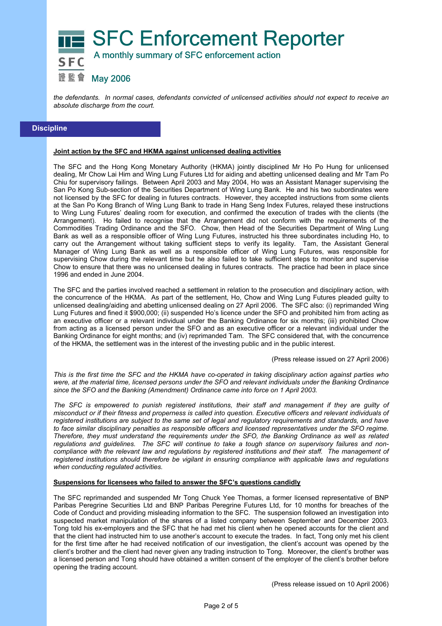

*the defendants. In normal cases, defendants convicted of unlicensed activities should not expect to receive an absolute discharge from the court.* 

# **Discipline**

# **Joint action by the SFC and HKMA against unlicensed dealing activities**

The SFC and the Hong Kong Monetary Authority (HKMA) jointly disciplined Mr Ho Po Hung for unlicensed dealing, Mr Chow Lai Him and Wing Lung Futures Ltd for aiding and abetting unlicensed dealing and Mr Tam Po Chiu for supervisory failings. Between April 2003 and May 2004, Ho was an Assistant Manager supervising the San Po Kong Sub-section of the Securities Department of Wing Lung Bank. He and his two subordinates were not licensed by the SFC for dealing in futures contracts. However, they accepted instructions from some clients at the San Po Kong Branch of Wing Lung Bank to trade in Hang Seng Index Futures, relayed these instructions to Wing Lung Futures' dealing room for execution, and confirmed the execution of trades with the clients (the Arrangement). Ho failed to recognise that the Arrangement did not conform with the requirements of the Commodities Trading Ordinance and the SFO. Chow, then Head of the Securities Department of Wing Lung Bank as well as a responsible officer of Wing Lung Futures, instructed his three subordinates including Ho, to carry out the Arrangement without taking sufficient steps to verify its legality. Tam, the Assistant General Manager of Wing Lung Bank as well as a responsible officer of Wing Lung Futures, was responsible for supervising Chow during the relevant time but he also failed to take sufficient steps to monitor and supervise Chow to ensure that there was no unlicensed dealing in futures contracts. The practice had been in place since 1996 and ended in June 2004.

The SFC and the parties involved reached a settlement in relation to the prosecution and disciplinary action, with the concurrence of the HKMA. As part of the settlement, Ho, Chow and Wing Lung Futures pleaded guilty to unlicensed dealing/aiding and abetting unlicensed dealing on 27 April 2006. The SFC also: (i) reprimanded Wing Lung Futures and fined it \$900,000; (ii) suspended Ho's licence under the SFO and prohibited him from acting as an executive officer or a relevant individual under the Banking Ordinance for six months; (iii) prohibited Chow from acting as a licensed person under the SFO and as an executive officer or a relevant individual under the Banking Ordinance for eight months; and (iv) reprimanded Tam. The SFC considered that, with the concurrence of the HKMA, the settlement was in the interest of the investing public and in the public interest.

(Press release issued on 27 April 2006)

*This is the first time the SFC and the HKMA have co-operated in taking disciplinary action against parties who were, at the material time, licensed persons under the SFO and relevant individuals under the Banking Ordinance since the SFO and the Banking (Amendment) Ordinance came into force on 1 April 2003.* 

*The SFC is empowered to punish registered institutions, their staff and management if they are guilty of misconduct or if their fitness and properness is called into question. Executive officers and relevant individuals of registered institutions are subject to the same set of legal and regulatory requirements and standards, and have to face similar disciplinary penalties as responsible officers and licensed representatives under the SFO regime. Therefore, they must understand the requirements under the SFO, the Banking Ordinance as well as related regulations and guidelines. The SFC will continue to take a tough stance on supervisory failures and non*compliance with the relevant law and regulations by registered institutions and their staff. The management of *registered institutions should therefore be vigilant in ensuring compliance with applicable laws and regulations when conducting regulated activities.* 

### **Suspensions for licensees who failed to answer the SFC's questions candidly**

The SFC reprimanded and suspended Mr Tong Chuck Yee Thomas, a former licensed representative of BNP Paribas Peregrine Securities Ltd and BNP Paribas Peregrine Futures Ltd, for 10 months for breaches of the Code of Conduct and providing misleading information to the SFC. The suspension followed an investigation into suspected market manipulation of the shares of a listed company between September and December 2003. Tong told his ex-employers and the SFC that he had met his client when he opened accounts for the client and that the client had instructed him to use another's account to execute the trades. In fact, Tong only met his client for the first time after he had received notification of our investigation, the client's account was opened by the client's brother and the client had never given any trading instruction to Tong. Moreover, the client's brother was a licensed person and Tong should have obtained a written consent of the employer of the client's brother before opening the trading account.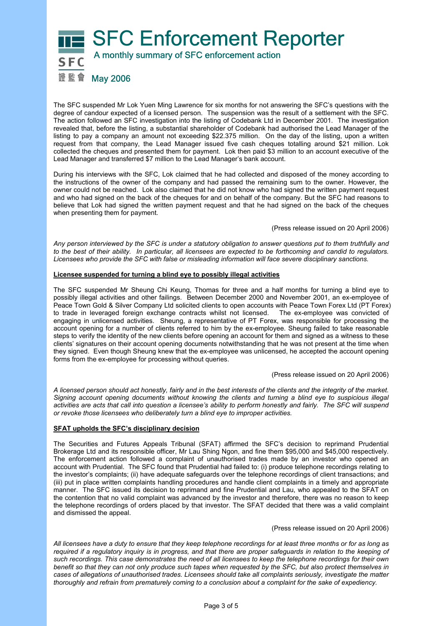

The SFC suspended Mr Lok Yuen Ming Lawrence for six months for not answering the SFC's questions with the degree of candour expected of a licensed person. The suspension was the result of a settlement with the SFC. The action followed an SFC investigation into the listing of Codebank Ltd in December 2001. The investigation revealed that, before the listing, a substantial shareholder of Codebank had authorised the Lead Manager of the listing to pay a company an amount not exceeding \$22.375 million. On the day of the listing, upon a written request from that company, the Lead Manager issued five cash cheques totalling around \$21 million. Lok collected the cheques and presented them for payment. Lok then paid \$3 million to an account executive of the Lead Manager and transferred \$7 million to the Lead Manager's bank account.

During his interviews with the SFC, Lok claimed that he had collected and disposed of the money according to the instructions of the owner of the company and had passed the remaining sum to the owner. However, the owner could not be reached. Lok also claimed that he did not know who had signed the written payment request and who had signed on the back of the cheques for and on behalf of the company. But the SFC had reasons to believe that Lok had signed the written payment request and that he had signed on the back of the cheques when presenting them for payment.

(Press release issued on 20 April 2006)

*Any person interviewed by the SFC is under a statutory obligation to answer questions put to them truthfully and to the best of their ability. In particular, all licensees are expected to be forthcoming and candid to regulators. Licensees who provide the SFC with false or misleading information will face severe disciplinary sanctions.* 

# **Licensee suspended for turning a blind eye to possibly illegal activities**

The SFC suspended Mr Sheung Chi Keung, Thomas for three and a half months for turning a blind eye to possibly illegal activities and other failings. Between December 2000 and November 2001, an ex-employee of Peace Town Gold & Silver Company Ltd solicited clients to open accounts with Peace Town Forex Ltd (PT Forex) to trade in leveraged foreign exchange contracts whilst not licensed. The ex-emplovee was convicted of to trade in leveraged foreign exchange contracts whilst not licensed. engaging in unlicensed activities. Sheung, a representative of PT Forex, was responsible for processing the account opening for a number of clients referred to him by the ex-employee. Sheung failed to take reasonable steps to verify the identity of the new clients before opening an account for them and signed as a witness to these clients' signatures on their account opening documents notwithstanding that he was not present at the time when they signed. Even though Sheung knew that the ex-employee was unlicensed, he accepted the account opening forms from the ex-employee for processing without queries.

(Press release issued on 20 April 2006)

*A licensed person should act honestly, fairly and in the best interests of the clients and the integrity of the market. Signing account opening documents without knowing the clients and turning a blind eye to suspicious illegal activities are acts that call into question a licensee's ability to perform honestly and fairly. The SFC will suspend or revoke those licensees who deliberately turn a blind eye to improper activities.* 

# **SFAT upholds the SFC's disciplinary decision**

The Securities and Futures Appeals Tribunal (SFAT) affirmed the SFC's decision to reprimand Prudential Brokerage Ltd and its responsible officer, Mr Lau Shing Ngon, and fine them \$95,000 and \$45,000 respectively. The enforcement action followed a complaint of unauthorised trades made by an investor who opened an account with Prudential. The SFC found that Prudential had failed to: (i) produce telephone recordings relating to the investor's complaints; (ii) have adequate safeguards over the telephone recordings of client transactions; and (iii) put in place written complaints handling procedures and handle client complaints in a timely and appropriate manner. The SFC issued its decision to reprimand and fine Prudential and Lau, who appealed to the SFAT on the contention that no valid complaint was advanced by the investor and therefore, there was no reason to keep the telephone recordings of orders placed by that investor. The SFAT decided that there was a valid complaint and dismissed the appeal.

(Press release issued on 20 April 2006)

*All licensees have a duty to ensure that they keep telephone recordings for at least three months or for as long as required if a regulatory inquiry is in progress, and that there are proper safeguards in relation to the keeping of such recordings. This case demonstrates the need of all licensees to keep the telephone recordings for their own benefit so that they can not only produce such tapes when requested by the SFC, but also protect themselves in cases of allegations of unauthorised trades. Licensees should take all complaints seriously, investigate the matter thoroughly and refrain from prematurely coming to a conclusion about a complaint for the sake of expediency.*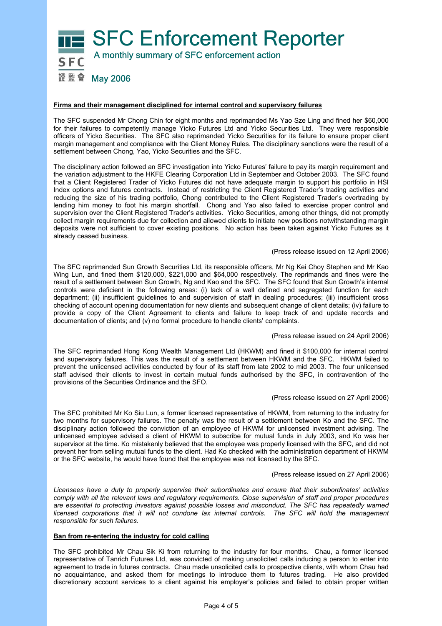

# **Firms and their management disciplined for internal control and supervisory failures**

The SFC suspended Mr Chong Chin for eight months and reprimanded Ms Yao Sze Ling and fined her \$60,000 for their failures to competently manage Yicko Futures Ltd and Yicko Securities Ltd. They were responsible officers of Yicko Securities. The SFC also reprimanded Yicko Securities for its failure to ensure proper client margin management and compliance with the Client Money Rules. The disciplinary sanctions were the result of a settlement between Chong, Yao, Yicko Securities and the SFC.

The disciplinary action followed an SFC investigation into Yicko Futures' failure to pay its margin requirement and the variation adjustment to the HKFE Clearing Corporation Ltd in September and October 2003. The SFC found that a Client Registered Trader of Yicko Futures did not have adequate margin to support his portfolio in HSI Index options and futures contracts. Instead of restricting the Client Registered Trader's trading activities and reducing the size of his trading portfolio, Chong contributed to the Client Registered Trader's overtrading by lending him money to foot his margin shortfall. Chong and Yao also failed to exercise proper control and supervision over the Client Registered Trader's activities. Yicko Securities, among other things, did not promptly collect margin requirements due for collection and allowed clients to initiate new positions notwithstanding margin deposits were not sufficient to cover existing positions. No action has been taken against Yicko Futures as it already ceased business.

### (Press release issued on 12 April 2006)

The SFC reprimanded Sun Growth Securities Ltd, its responsible officers, Mr Ng Kei Choy Stephen and Mr Kao Wing Lun, and fined them \$120,000, \$221,000 and \$64,000 respectively. The reprimands and fines were the result of a settlement between Sun Growth, Ng and Kao and the SFC. The SFC found that Sun Growth's internal controls were deficient in the following areas: (i) lack of a well defined and segregated function for each department; (ii) insufficient guidelines to and supervision of staff in dealing procedures; (iii) insufficient cross checking of account opening documentation for new clients and subsequent change of client details; (iv) failure to provide a copy of the Client Agreement to clients and failure to keep track of and update records and documentation of clients; and (v) no formal procedure to handle clients' complaints.

### (Press release issued on 24 April 2006)

The SFC reprimanded Hong Kong Wealth Management Ltd (HKWM) and fined it \$100,000 for internal control and supervisory failures. This was the result of a settlement between HKWM and the SFC. HKWM failed to prevent the unlicensed activities conducted by four of its staff from late 2002 to mid 2003. The four unlicensed staff advised their clients to invest in certain mutual funds authorised by the SFC, in contravention of the provisions of the Securities Ordinance and the SFO.

### (Press release issued on 27 April 2006)

The SFC prohibited Mr Ko Siu Lun, a former licensed representative of HKWM, from returning to the industry for two months for supervisory failures. The penalty was the result of a settlement between Ko and the SFC. The disciplinary action followed the conviction of an employee of HKWM for unlicensed investment advising. The unlicensed employee advised a client of HKWM to subscribe for mutual funds in July 2003, and Ko was her supervisor at the time. Ko mistakenly believed that the employee was properly licensed with the SFC, and did not prevent her from selling mutual funds to the client. Had Ko checked with the administration department of HKWM or the SFC website, he would have found that the employee was not licensed by the SFC.

### (Press release issued on 27 April 2006)

*Licensees have a duty to properly supervise their subordinates and ensure that their subordinates' activities comply with all the relevant laws and regulatory requirements. Close supervision of staff and proper procedures are essential to protecting investors against possible losses and misconduct. The SFC has repeatedly warned*  licensed corporations that it will not condone lax internal controls. The SFC will hold the management *responsible for such failures.* 

# **Ban from re-entering the industry for cold calling**

The SFC prohibited Mr Chau Sik Ki from returning to the industry for four months. Chau, a former licensed representative of Tanrich Futures Ltd, was convicted of making unsolicited calls inducing a person to enter into agreement to trade in futures contracts. Chau made unsolicited calls to prospective clients, with whom Chau had no acquaintance, and asked them for meetings to introduce them to futures trading. He also provided discretionary account services to a client against his employer's policies and failed to obtain proper written